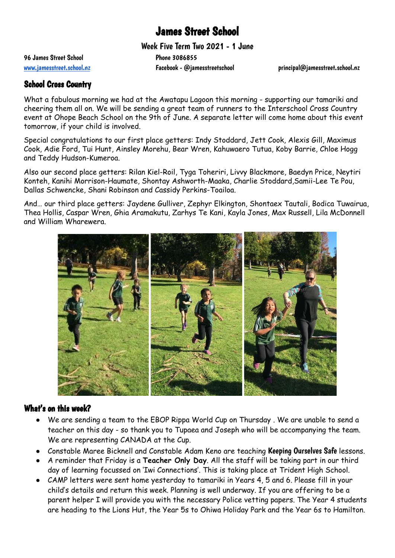# James Street School

Week Five Term Two 2021 - 1 June

96 James Street School 20086855

[www.jamesstreet.school.nz](http://www.jamesstreet.school.nz) Facebook - @jamesstreetschool principal@jamesstreet.school.nz

#### School Cross Country

What a fabulous morning we had at the Awatapu Lagoon this morning - supporting our tamariki and cheering them all on. We will be sending a great team of runners to the Interschool Cross Country event at Ohope Beach School on the 9th of June. A separate letter will come home about this event tomorrow, if your child is involved.

Special congratulations to our first place getters: Indy Stoddard, Jett Cook, Alexis Gill, Maximus Cook, Adie Ford, Tui Hunt, Ainsley Morehu, Bear Wren, Kahuwaero Tutua, Koby Barrie, Chloe Hogg and Teddy Hudson-Kumeroa.

Also our second place getters: Rilan Kiel-Roil, Tyga Toheriri, Livvy Blackmore, Baedyn Price, Neytiri Konteh, Kanihi Morrison-Haumate, Shontay Ashworth-Maaka, Charlie Stoddard,Samii-Lee Te Pou, Dallas Schwencke, Shani Robinson and Cassidy Perkins-Toailoa.

And… our third place getters: Jaydene Gulliver, Zephyr Elkington, Shontaex Tautali, Bodica Tuwairua, Thea Hollis, Caspar Wren, Ghia Aramakutu, Zarhys Te Kani, Kayla Jones, Max Russell, Lila McDonnell and William Wharewera.



#### What's on this week?

- We are sending a team to the EBOP Rippa World Cup on Thursday . We are unable to send a teacher on this day - so thank you to Tupaea and Joseph who will be accompanying the team. We are representing CANADA at the Cup.
- Constable Maree Bicknell and Constable Adam Keno are teaching Keeping Ourselves Safe lessons.
- A reminder that Friday is a **Teacher Only Day**. All the staff will be taking part in our third day of learning focussed on 'Iwi Connections'. This is taking place at Trident High School.
- CAMP letters were sent home yesterday to tamariki in Years 4, 5 and 6. Please fill in your child's details and return this week. Planning is well underway. If you are offering to be a parent helper I will provide you with the necessary Police vetting papers. The Year 4 students are heading to the Lions Hut, the Year 5s to Ohiwa Holiday Park and the Year 6s to Hamilton.